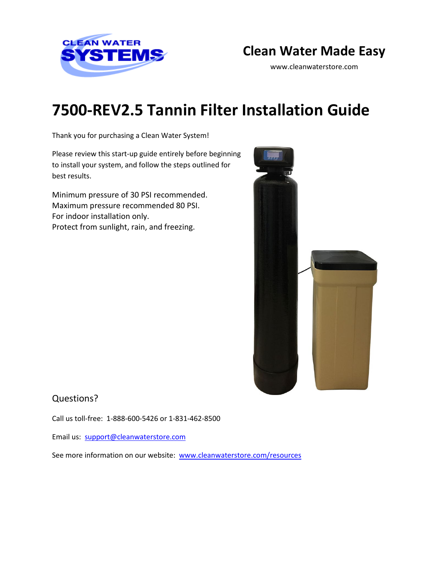

## **Clean Water Made Easy**

www.cleanwaterstore.com

# **7500-REV2.5 Tannin Filter Installation Guide**

Thank you for purchasing a Clean Water System!

Please review this start‐up guide entirely before beginning to install your system, and follow the steps outlined for best results.

Minimum pressure of 30 PSI recommended. Maximum pressure recommended 80 PSI. For indoor installation only. Protect from sunlight, rain, and freezing.



### Questions?

Call us toll-free: 1-888-600-5426 or 1-831-462-8500

Email us: [support@cleanwaterstore.com](mailto:support@cleanwaterstore.com)

See more information on our website: [www.cleanwaterstore.com/resources](http://www.cleanwaterstore.com/resources)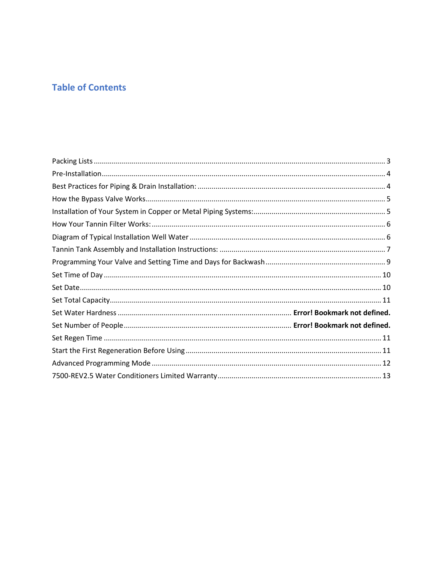## **Table of Contents**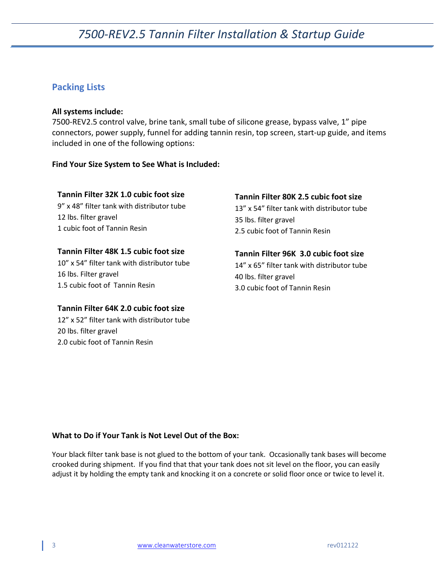### <span id="page-2-0"></span>**Packing Lists**

#### **All systems include:**

7500-REV2.5 control valve, brine tank, small tube of silicone grease, bypass valve, 1" pipe connectors, power supply, funnel for adding tannin resin, top screen, start-up guide, and items included in one of the following options:

#### **Find Your Size System to See What is Included:**

#### **Tannin Filter 32K 1.0 cubic foot size**

9" x 48" filter tank with distributor tube 12 lbs. filter gravel 1 cubic foot of Tannin Resin

#### **Tannin Filter 48K 1.5 cubic foot size**

10" x 54" filter tank with distributor tube 16 lbs. Filter gravel 1.5 cubic foot of Tannin Resin

#### **Tannin Filter 64K 2.0 cubic foot size**

12" x 52" filter tank with distributor tube 20 lbs. filter gravel 2.0 cubic foot of Tannin Resin

#### **Tannin Filter 80K 2.5 cubic foot size**

13" x 54" filter tank with distributor tube 35 lbs. filter gravel 2.5 cubic foot of Tannin Resin

**Tannin Filter 96K 3.0 cubic foot size**  14" x 65" filter tank with distributor tube 40 lbs. filter gravel 3.0 cubic foot of Tannin Resin

#### **What to Do if Your Tank is Not Level Out of the Box:**

Your black filter tank base is not glued to the bottom of your tank. Occasionally tank bases will become crooked during shipment. If you find that that your tank does not sit level on the floor, you can easily adjust it by holding the empty tank and knocking it on a concrete or solid floor once or twice to level it.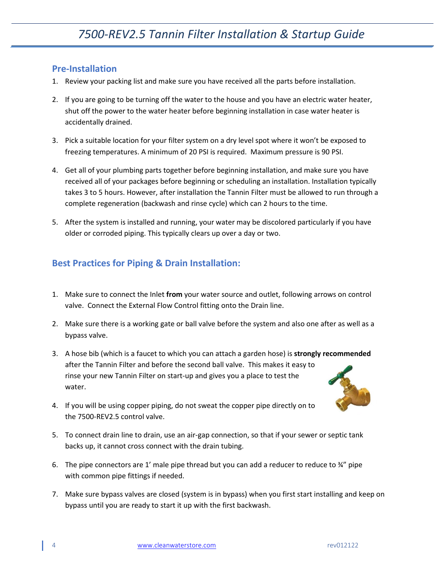### <span id="page-3-0"></span>**Pre-Installation**

- 1. Review your packing list and make sure you have received all the parts before installation.
- 2. If you are going to be turning off the water to the house and you have an electric water heater, shut off the power to the water heater before beginning installation in case water heater is accidentally drained.
- 3. Pick a suitable location for your filter system on a dry level spot where it won't be exposed to freezing temperatures. A minimum of 20 PSI is required. Maximum pressure is 90 PSI.
- 4. Get all of your plumbing parts together before beginning installation, and make sure you have received all of your packages before beginning or scheduling an installation. Installation typically takes 3 to 5 hours. However, after installation the Tannin Filter must be allowed to run through a complete regeneration (backwash and rinse cycle) which can 2 hours to the time.
- 5. After the system is installed and running, your water may be discolored particularly if you have older or corroded piping. This typically clears up over a day or two.

## <span id="page-3-1"></span>**Best Practices for Piping & Drain Installation:**

- 1. Make sure to connect the Inlet **from** your water source and outlet, following arrows on control valve. Connect the External Flow Control fitting onto the Drain line.
- 2. Make sure there is a working gate or ball valve before the system and also one after as well as a bypass valve.
- 3. A hose bib (which is a faucet to which you can attach a garden hose) is **strongly recommended** after the Tannin Filter and before the second ball valve. This makes it easy to rinse your new Tannin Filter on start-up and gives you a place to test the water.
	-
- 4. If you will be using copper piping, do not sweat the copper pipe directly on to the 7500-REV2.5 control valve.
- 5. To connect drain line to drain, use an air-gap connection, so that if your sewer or septic tank backs up, it cannot cross connect with the drain tubing.
- 6. The pipe connectors are 1' male pipe thread but you can add a reducer to reduce to  $\frac{3}{4}$ " pipe with common pipe fittings if needed.
- 7. Make sure bypass valves are closed (system is in bypass) when you first start installing and keep on bypass until you are ready to start it up with the first backwash.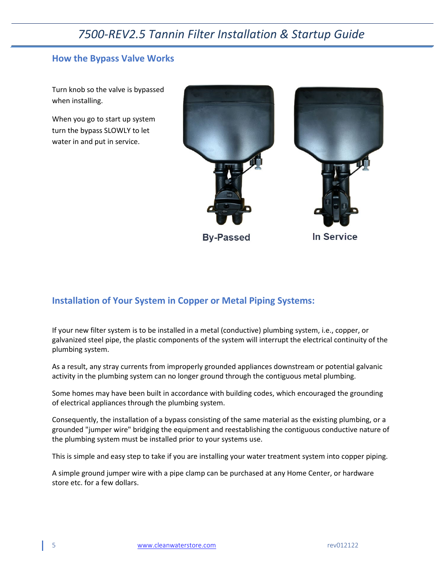### <span id="page-4-0"></span>**How the Bypass Valve Works**

Turn knob so the valve is bypassed when installing.

When you go to start up system turn the bypass SLOWLY to let water in and put in service.



**By-Passed** 

**In Service** 

### <span id="page-4-1"></span>**Installation of Your System in Copper or Metal Piping Systems:**

If your new filter system is to be installed in a metal (conductive) plumbing system, i.e., copper, or galvanized steel pipe, the plastic components of the system will interrupt the electrical continuity of the plumbing system.

As a result, any stray currents from improperly grounded appliances downstream or potential galvanic activity in the plumbing system can no longer ground through the contiguous metal plumbing.

Some homes may have been built in accordance with building codes, which encouraged the grounding of electrical appliances through the plumbing system.

Consequently, the installation of a bypass consisting of the same material as the existing plumbing, or a grounded "jumper wire" bridging the equipment and reestablishing the contiguous conductive nature of the plumbing system must be installed prior to your systems use.

This is simple and easy step to take if you are installing your water treatment system into copper piping.

A simple ground jumper wire with a pipe clamp can be purchased at any Home Center, or hardware store etc. for a few dollars.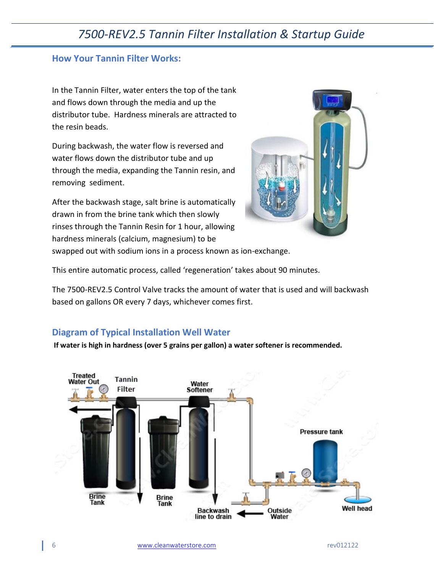### <span id="page-5-0"></span>**How Your Tannin Filter Works:**

In the Tannin Filter, water enters the top of the tank and flows down through the media and up the distributor tube. Hardness minerals are attracted to the resin beads.

During backwash, the water flow is reversed and water flows down the distributor tube and up through the media, expanding the Tannin resin, and removing sediment.

After the backwash stage, salt brine is automatically drawn in from the brine tank which then slowly rinses through the Tannin Resin for 1 hour, allowing hardness minerals (calcium, magnesium) to be



swapped out with sodium ions in a process known as ion-exchange.

This entire automatic process, called 'regeneration' takes about 90 minutes.

The 7500-REV2.5 Control Valve tracks the amount of water that is used and will backwash based on gallons OR every 7 days, whichever comes first.

### <span id="page-5-1"></span>**Diagram of Typical Installation Well Water**

**If water is high in hardness (over 5 grains per gallon) a water softener is recommended.**

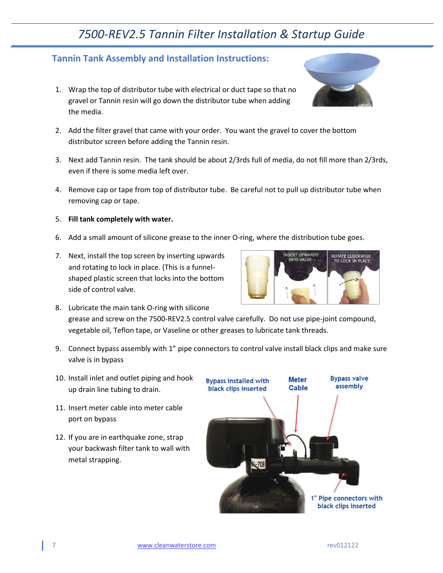## <span id="page-6-0"></span>**Tannin Tank Assembly and Installation Instructions:**

- 1. Wrap the top of distributor tube with electrical or duct tape so that no gravel or Tannin resin will go down the distributor tube when adding the media.
- 2. Add the filter gravel that came with your order. You want the gravel to cover the bottom distributor screen before adding the Tannin resin.
- 3. Next add Tannin resin. The tank should be about 2/3rds full of media, do not fill more than 2/3rds, even if there is some media left over.
- 4. Remove cap or tape from top of distributor tube. Be careful not to pull up distributor tube when removing cap or tape.
- 5. **Fill tank completely with water.**
- 6. Add a small amount of silicone grease to the inner O-ring, where the distribution tube goes.
- 7. Next, install the top screen by inserting upwards and rotating to lock in place. (This is a funnelshaped plastic screen that locks into the bottom side of control valve.



- 8. Lubricate the main tank O-ring with silicone grease and screw on the 7500-REV2.5 control valve carefully. Do not use pipe-joint compound, vegetable oil, Teflon tape, or Vaseline or other greases to lubricate tank threads.
- 9. Connect bypass assembly with 1" pipe connectors to control valve install black clips and make sure valve is in bypass
- 10. Install inlet and outlet piping and hook up drain line tubing to drain.
- 11. Insert meter cable into meter cable port on bypass
- 12. If you are in earthquake zone, strap your backwash filter tank to wall with metal strapping.

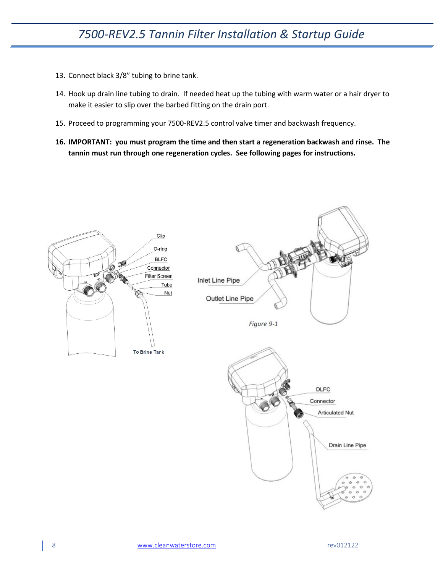- 13. Connect black 3/8" tubing to brine tank.
- 14. Hook up drain line tubing to drain. If needed heat up the tubing with warm water or a hair dryer to make it easier to slip over the barbed fitting on the drain port.
- 15. Proceed to programming your 7500-REV2.5 control valve timer and backwash frequency.
- **16. IMPORTANT: you must program the time and then start a regeneration backwash and rinse. The tannin must run through one regeneration cycles. See following pages for instructions.**

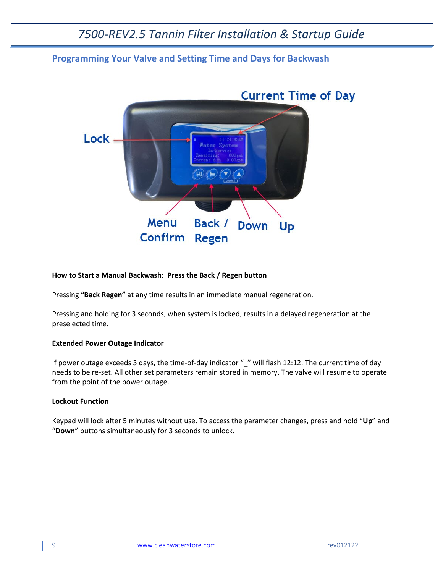### <span id="page-8-0"></span>**Programming Your Valve and Setting Time and Days for Backwash**



#### **How to Start a Manual Backwash: Press the Back / Regen button**

Pressing **"Back Regen"** at any time results in an immediate manual regeneration.

Pressing and holding for 3 seconds, when system is locked, results in a delayed regeneration at the preselected time.

#### **Extended Power Outage Indicator**

If power outage exceeds 3 days, the time-of-day indicator "\_" will flash 12:12. The current time of day needs to be re-set. All other set parameters remain stored in memory. The valve will resume to operate from the point of the power outage.

#### **Lockout Function**

Keypad will lock after 5 minutes without use. To access the parameter changes, press and hold "**Up**" and "**Down**" buttons simultaneously for 3 seconds to unlock.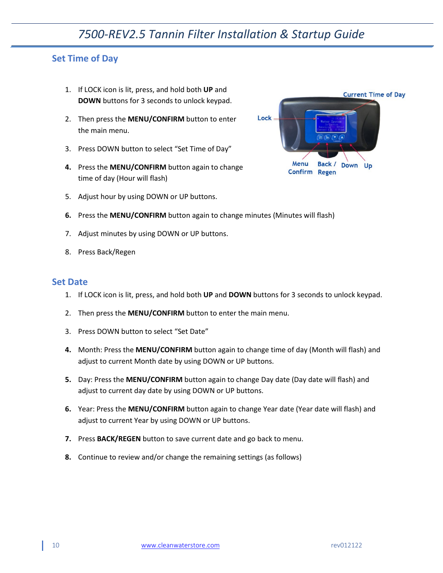### <span id="page-9-0"></span>**Set Time of Day**

- 1. If LOCK icon is lit, press, and hold both **UP** and **DOWN** buttons for 3 seconds to unlock keypad.
- 2. Then press the **MENU/CONFIRM** button to enter the main menu.
- 3. Press DOWN button to select "Set Time of Day"
- **4.** Press the **MENU/CONFIRM** button again to change time of day (Hour will flash)
- 5. Adjust hour by using DOWN or UP buttons.



- **6.** Press the **MENU/CONFIRM** button again to change minutes (Minutes will flash)
- 7. Adjust minutes by using DOWN or UP buttons.
- 8. Press Back/Regen

### <span id="page-9-1"></span>**Set Date**

- 1. If LOCK icon is lit, press, and hold both **UP** and **DOWN** buttons for 3 seconds to unlock keypad.
- 2. Then press the **MENU/CONFIRM** button to enter the main menu.
- 3. Press DOWN button to select "Set Date"
- **4.** Month: Press the **MENU/CONFIRM** button again to change time of day (Month will flash) and adjust to current Month date by using DOWN or UP buttons.
- **5.** Day: Press the **MENU/CONFIRM** button again to change Day date (Day date will flash) and adjust to current day date by using DOWN or UP buttons.
- **6.** Year: Press the **MENU/CONFIRM** button again to change Year date (Year date will flash) and adjust to current Year by using DOWN or UP buttons.
- **7.** Press **BACK/REGEN** button to save current date and go back to menu.
- **8.** Continue to review and/or change the remaining settings (as follows)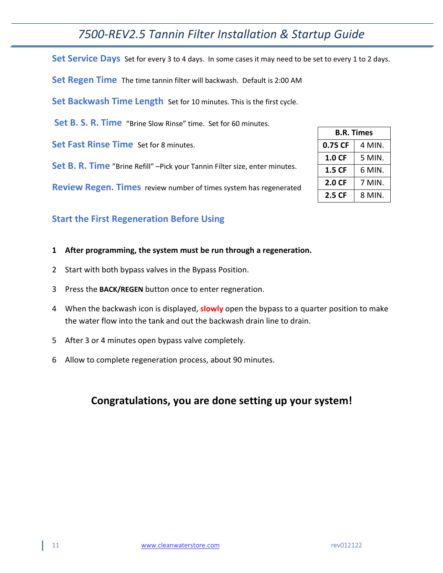<span id="page-10-0"></span>Set Service Days Set for every 3 to 4 days. In some cases it may need to be set to every 1 to 2 days.

<span id="page-10-1"></span>**Set Regen Time** The time tannin filter will backwash. Default is 2:00 AM

**Set Backwash Time Length** Set for 10 minutes. This is the first cycle.

**Set B. S. R. Time** "Brine Slow Rinse" time. Set for 60 minutes.

**Set Fast Rinse Time** Set for 8 minutes.

**Set B. R. Time** "Brine Refill" –Pick your Tannin Filter size, enter minutes.

**Review Regen. Times** review number of times system has regenerated

### <span id="page-10-2"></span>**Start the First Regeneration Before Using**

#### **1 After programming, the system must be run through a regeneration.**

- 2 Start with both bypass valves in the Bypass Position.
- 3 Press the **BACK/REGEN** button once to enter regneration.
- 4 When the backwash icon is displayed, **slowly** open the bypass to a quarter position to make the water flow into the tank and out the backwash drain line to drain.
- 5 After 3 or 4 minutes open bypass valve completely.
- 6 Allow to complete regeneration process, about 90 minutes.

## **Congratulations, you are done setting up your system!**

| <b>B.R. Times</b> |        |  |
|-------------------|--------|--|
| 0.75 CF           | 4 MIN. |  |
| 1.0 CF            | 5 MIN. |  |
| 1.5 CF            | 6 MIN. |  |
| 2.0 CF            | 7 MIN. |  |
| 2.5 CF            | 8 MIN. |  |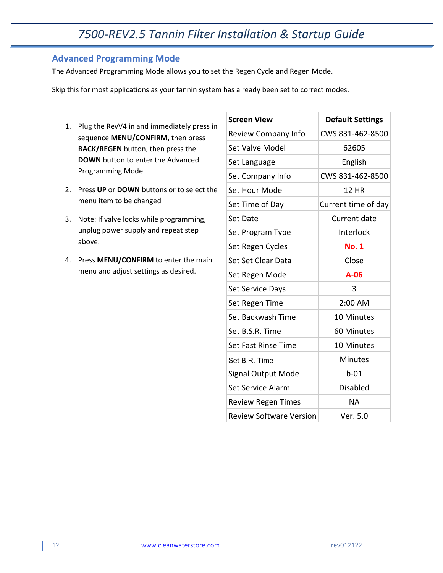## <span id="page-11-0"></span>**Advanced Programming Mode**

The Advanced Programming Mode allows you to set the Regen Cycle and Regen Mode.

Skip this for most applications as your tannin system has already been set to correct modes.

- 1. Plug the RevV4 in and immediately press in sequence **MENU/CONFIRM,** then press **BACK/REGEN** button, then press the **DOWN** button to enter the Advanced Programming Mode.
- 2. Press **UP** or **DOWN** buttons or to select the menu item to be changed
- 3. Note: If valve locks while programming, unplug power supply and repeat step above.
- 4. Press **MENU/CONFIRM** to enter the main menu and adjust settings as desired.

| <b>Screen View</b>             | <b>Default Settings</b> |
|--------------------------------|-------------------------|
| Review Company Info            | CWS 831-462-8500        |
| <b>Set Valve Model</b>         | 62605                   |
| Set Language                   | English                 |
| Set Company Info               | CWS 831-462-8500        |
| <b>Set Hour Mode</b>           | <b>12 HR</b>            |
| Set Time of Day                | Current time of day     |
| <b>Set Date</b>                | Current date            |
| Set Program Type               | Interlock               |
| Set Regen Cycles               | <b>No. 1</b>            |
| Set Set Clear Data             | Close                   |
| Set Regen Mode                 | $A-06$                  |
| Set Service Days               | 3                       |
| Set Regen Time                 | 2:00 AM                 |
| Set Backwash Time              | <b>10 Minutes</b>       |
| Set B.S.R. Time                | 60 Minutes              |
| <b>Set Fast Rinse Time</b>     | 10 Minutes              |
| Set B.R. Time                  | <b>Minutes</b>          |
| Signal Output Mode             | $b-01$                  |
| Set Service Alarm              | <b>Disabled</b>         |
| <b>Review Regen Times</b>      | ΝA                      |
| <b>Review Software Version</b> | Ver. 5.0                |